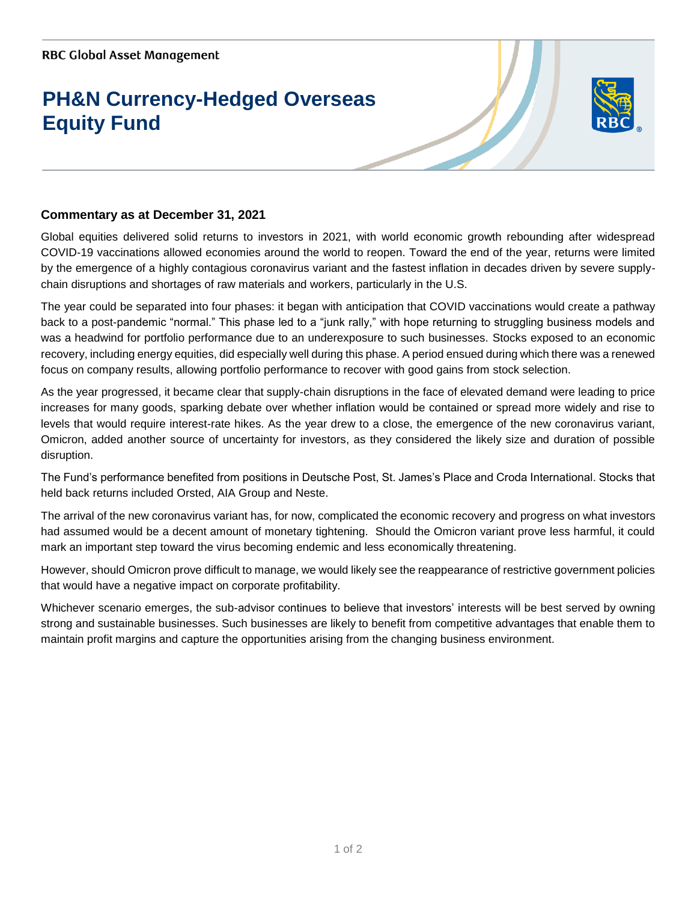## **PH&N Currency-Hedged Overseas Equity Fund**



## **Commentary as at December 31, 2021**

Global equities delivered solid returns to investors in 2021, with world economic growth rebounding after widespread COVID-19 vaccinations allowed economies around the world to reopen. Toward the end of the year, returns were limited by the emergence of a highly contagious coronavirus variant and the fastest inflation in decades driven by severe supplychain disruptions and shortages of raw materials and workers, particularly in the U.S.

The year could be separated into four phases: it began with anticipation that COVID vaccinations would create a pathway back to a post-pandemic "normal." This phase led to a "junk rally," with hope returning to struggling business models and was a headwind for portfolio performance due to an underexposure to such businesses. Stocks exposed to an economic recovery, including energy equities, did especially well during this phase. A period ensued during which there was a renewed focus on company results, allowing portfolio performance to recover with good gains from stock selection.

As the year progressed, it became clear that supply-chain disruptions in the face of elevated demand were leading to price increases for many goods, sparking debate over whether inflation would be contained or spread more widely and rise to levels that would require interest-rate hikes. As the year drew to a close, the emergence of the new coronavirus variant, Omicron, added another source of uncertainty for investors, as they considered the likely size and duration of possible disruption.

The Fund's performance benefited from positions in Deutsche Post, St. James's Place and Croda International. Stocks that held back returns included Orsted, AIA Group and Neste.

The arrival of the new coronavirus variant has, for now, complicated the economic recovery and progress on what investors had assumed would be a decent amount of monetary tightening. Should the Omicron variant prove less harmful, it could mark an important step toward the virus becoming endemic and less economically threatening.

However, should Omicron prove difficult to manage, we would likely see the reappearance of restrictive government policies that would have a negative impact on corporate profitability.

Whichever scenario emerges, the sub-advisor continues to believe that investors' interests will be best served by owning strong and sustainable businesses. Such businesses are likely to benefit from competitive advantages that enable them to maintain profit margins and capture the opportunities arising from the changing business environment.